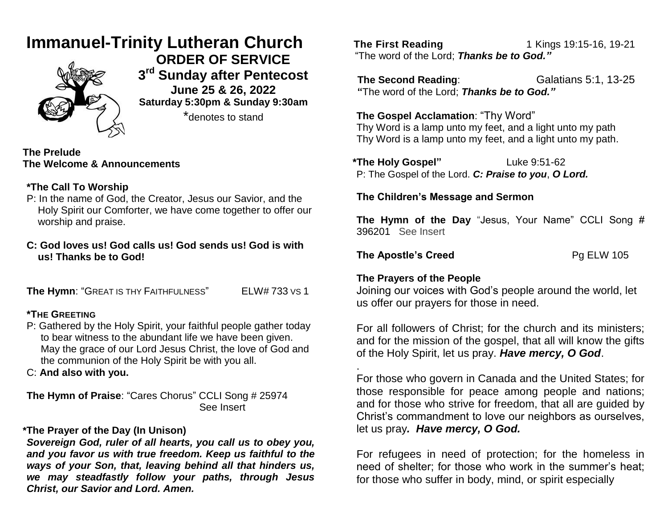# **Immanuel-Trinity Lutheran Church**



**ORDER OF SERVICE 3 rd Sunday after Pentecost June 25 & 26, 2022 Saturday 5:30pm & Sunday 9:30am** \*denotes to stand

**The Prelude The Welcome & Announcements**

# **\*The Call To Worship**

- P: In the name of God, the Creator, Jesus our Savior, and the Holy Spirit our Comforter, we have come together to offer our worship and praise.
- **C: God loves us! God calls us! God sends us! God is with us! Thanks be to God!**

**The Hymn**: "GREAT IS THY FAITHFULNESS" ELW# 733 VS 1

# **\*THE GREETING**

P: Gathered by the Holy Spirit, your faithful people gather today to bear witness to the abundant life we have been given. May the grace of our Lord Jesus Christ, the love of God and the communion of the Holy Spirit be with you all.

C: **And also with you.**

**The Hymn of Praise**: "Cares Chorus" CCLI Song # 25974 See Insert

# **\*The Prayer of the Day (In Unison)**

*Sovereign God, ruler of all hearts, you call us to obey you, and you favor us with true freedom. Keep us faithful to the ways of your Son, that, leaving behind all that hinders us, we may steadfastly follow your paths, through Jesus Christ, our Savior and Lord. Amen.*

**The First Reading 18.19.19.19.19.19.19.10** "The word of the Lord; *Thanks be to God."*

**The Second Reading:** Galatians 5:1, 13-25  **"**The word of the Lord; *Thanks be to God."*

**The Gospel Acclamation**: "Thy Word" Thy Word is a lamp unto my feet, and a light unto my path Thy Word is a lamp unto my feet, and a light unto my path.

**\*The Holy Gospel"** Luke 9:51-62 P: The Gospel of the Lord. *C: Praise to you*, *O Lord.*

## **The Children's Message and Sermon**

**The Hymn of the Day** "Jesus, Your Name" CCLI Song # 396201 See Insert

**The Apostle's Creed** Pg ELW 105

.

## **The Prayers of the People**

Joining our voices with God's people around the world, let us offer our prayers for those in need.

For all followers of Christ; for the church and its ministers; and for the mission of the gospel, that all will know the gifts of the Holy Spirit, let us pray. *Have mercy, O God*.

For those who govern in Canada and the United States; for those responsible for peace among people and nations; and for those who strive for freedom, that all are guided by Christ's commandment to love our neighbors as ourselves, let us pray*. Have mercy, O God.*

For refugees in need of protection; for the homeless in need of shelter; for those who work in the summer's heat; for those who suffer in body, mind, or spirit especially